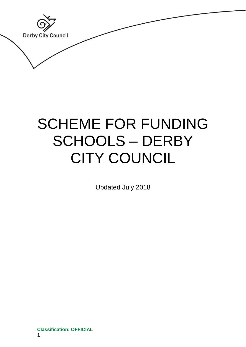**Classification: OFFICIAL Derby City Council** 

# SCHEME FOR FUNDING SCHOOLS – DERBY CITY COUNCIL

Updated July 2018

**Classification: OFFICIAL** 1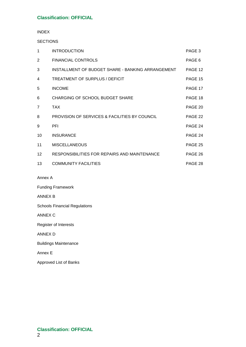INDEX

**SECTIONS** 

| 1               | <b>INTRODUCTION</b>                               | PAGE 3  |
|-----------------|---------------------------------------------------|---------|
| 2               | <b>FINANCIAL CONTROLS</b>                         | PAGE 6  |
| 3               | INSTALLMENT OF BUDGET SHARE - BANKING ARRANGEMENT | PAGE 12 |
| 4               | TREATMENT OF SURPLUS / DEFICIT                    | PAGE 15 |
| 5               | <b>INCOME</b>                                     | PAGE 17 |
| 6               | <b>CHARGING OF SCHOOL BUDGET SHARE</b>            | PAGE 18 |
| $\overline{7}$  | <b>TAX</b>                                        | PAGE 20 |
| 8               | PROVISION OF SERVICES & FACILITIES BY COUNCIL     | PAGE 22 |
| 9               | <b>PFI</b>                                        | PAGE 24 |
| 10              | <b>INSURANCE</b>                                  | PAGE 24 |
| 11              | <b>MISCELLANEOUS</b>                              | PAGE 25 |
| 12 <sup>2</sup> | RESPONSIBILITIES FOR REPAIRS AND MAINTENANCE      | PAGE 26 |
| 13              | <b>COMMUNITY FACILITIES</b>                       | PAGE 28 |

Annex A

Funding Framework

ANNEX B

Schools Financial Regulations

ANNEX C

Register of Interests

ANNEX D

Buildings Maintenance

Annex E

Approved List of Banks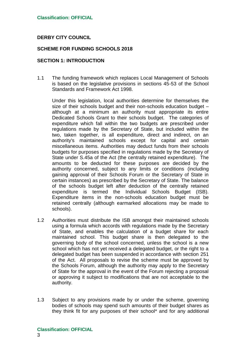## **DERBY CITY COUNCIL**

## **SCHEME FOR FUNDING SCHOOLS 2018**

## **SECTION 1: INTRODUCTION**

1.1 The funding framework which replaces Local Management of Schools is based on the legislative provisions in sections 45-53 of the School Standards and Framework Act 1998.

Under this legislation, local authorities determine for themselves the size of their schools budget and their non-schools education budget – although at a minimum an authority must appropriate its entire Dedicated Schools Grant to their schools budget. The categories of expenditure which fall within the two budgets are prescribed under regulations made by the Secretary of State, but included within the two, taken together, is all expenditure, direct and indirect, on an authority's maintained schools except for capital and certain miscellaneous items. Authorities may deduct funds from their schools budgets for purposes specified in regulations made by the Secretary of State under S.45a of the Act (the centrally retained expenditure). The amounts to be deducted for these purposes are decided by the authority concerned, subject to any limits or conditions (including gaining approval of their Schools Forum or the Secretary of State in certain instances) as prescribed by the Secretary of State. The balance of the schools budget left after deduction of the centrally retained expenditure is termed the Individual Schools Budget (ISB). Expenditure items in the non-schools education budget must be retained centrally (although earmarked allocations may be made to schools).

- 1.2 Authorities must distribute the ISB amongst their maintained schools using a formula which accords with regulations made by the Secretary of State, and enables the calculation of a budget share for each maintained school. This budget share is then delegated to the governing body of the school concerned, unless the school is a new school which has not yet received a delegated budget, or the right to a delegated budget has been suspended in accordance with section 251 of the Act. All proposals to revise the scheme must be approved by the Schools Forum, although the authority may apply to the Secretary of State for the approval in the event of the Forum rejecting a proposal or approving it subject to modifications that are not acceptable to the authority.
- 1.3 Subject to any provisions made by or under the scheme, governing bodies of schools may spend such amounts of their budget shares as they think fit for any purposes of their school\* and for any additional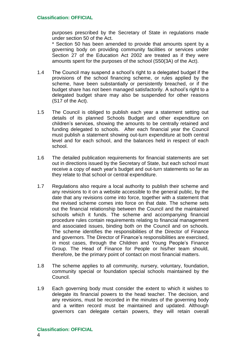purposes prescribed by the Secretary of State in regulations made under section 50 of the Act.

\* Section 50 has been amended to provide that amounts spent by a governing body on providing community facilities or services under Section 27 of the Education Act 2002 are treated as if they were amounts spent for the purposes of the school (S50(3A) of the Act).

- 1.4 The Council may suspend a school's right to a delegated budget if the provisions of the school financing scheme, or rules applied by the scheme, have been substantially or persistently breached, or if the budget share has not been managed satisfactorily. A school's right to a delegated budget share may also be suspended for other reasons (S17 of the Act).
- 1.5 The Council is obliged to publish each year a statement setting out details of its planned Schools Budget and other expenditure on children's services, showing the amounts to be centrally retained and funding delegated to schools. After each financial year the Council must publish a statement showing out-turn expenditure at both central level and for each school, and the balances held in respect of each school.
- 1.6 The detailed publication requirements for financial statements are set out in directions issued by the Secretary of State, but each school must receive a copy of each year's budget and out-turn statements so far as they relate to that school or central expenditure.
- 1.7 Regulations also require a local authority to publish their scheme and any revisions to it on a website accessible to the general public, by the date that any revisions come into force, together with a statement that the revised scheme comes into force on that date. The scheme sets out the financial relationship between the Council and the maintained schools which it funds. The scheme and accompanying financial procedure rules contain requirements relating to financial management and associated issues, binding both on the Council and on schools. The scheme identifies the responsibilities of the Director of Finance and governors. The Director of Finance's responsibilities are exercised, in most cases, through the Children and Young People's Finance Group. The Head of Finance for People or his/her team should, therefore, be the primary point of contact on most financial matters.
- 1.8 The scheme applies to all community, nursery, voluntary, foundation, community special or foundation special schools maintained by the Council.
- 1.9 Each governing body must consider the extent to which it wishes to delegate its financial powers to the head teacher. The decision, and any revisions, must be recorded in the minutes of the governing body and a written record must be maintained and updated. Although governors can delegate certain powers, they will retain overall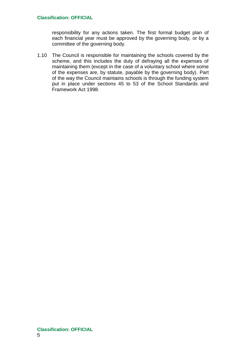responsibility for any actions taken. The first formal budget plan of each financial year must be approved by the governing body, or by a committee of the governing body*.*

1.10 The Council is responsible for maintaining the schools covered by the scheme, and this includes the duty of defraying all the expenses of maintaining them (except in the case of a voluntary school where some of the expenses are, by statute, payable by the governing body). Part of the way the Council maintains schools is through the funding system put in place under sections 45 to 53 of the School Standards and Framework Act 1998.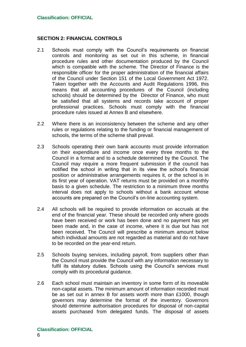## **SECTION 2: FINANCIAL CONTROLS**

- 2.1 Schools must comply with the Council's requirements on financial controls and monitoring as set out in this scheme, in financial procedure rules and other documentation produced by the Council which is compatible with the scheme. The Director of Finance is the responsible officer for the proper administration of the financial affairs of the Council under Section 151 of the Local Government Act 1972. Taken together with the Accounts and Audit Regulations 1996, this means that all accounting procedures of the Council (including schools) should be determined by the Director of Finance, who must be satisfied that all systems and records take account of proper professional practices. Schools must comply with the financial procedure rules issued at Annex B and elsewhere.
- 2.2 Where there is an inconsistency between the scheme and any other rules or regulations relating to the funding or financial management of schools, the terms of the scheme shall prevail.
- 2.3 Schools operating their own bank accounts must provide information on their expenditure and income once every three months to the Council in a format and to a schedule determined by the Council. The Council may require a more frequent submission if the council has notified the school in writing that in its view the school's financial position or administrative arrangements requires it, or the school is in its first year of operation. VAT returns must be provided on a monthly basis to a given schedule. The restriction to a minimum three months interval does not apply to schools without a bank account whose accounts are prepared on the Council's on-line accounting system.
- 2.4 All schools will be required to provide information on accruals at the end of the financial year. These should be recorded only where goods have been received or work has been done and no payment has yet been made and, in the case of income, where it is due but has not been received. The Council will prescribe a minimum amount below which individual amounts are not regarded as material and do not have to be recorded on the year-end return.
- 2.5 Schools buying services, including payroll, from suppliers other than the Council must provide the Council with any information necessary to fulfil its statutory duties. Schools using the Council's services must comply with its procedural guidance.
- 2.6 Each school must maintain an inventory in some form of its moveable non-capital assets. The minimum amount of information recorded must be as set out in annex B for assets worth more than £1000, though governors may determine the format of the inventory. Governors should determine authorisation procedures for disposal of non-capital assets purchased from delegated funds. The disposal of assets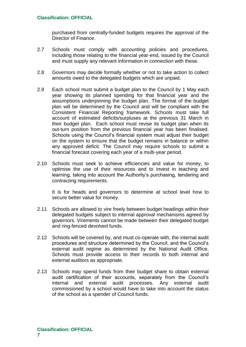purchased from centrally-funded budgets requires the approval of the Director of Finance.

- 2.7 Schools must comply with accounting policies and procedures, including those relating to the financial year-end, issued by the Council and must supply any relevant information in connection with these.
- 2.8 Governors may decide formally whether or not to take action to collect amounts owed to the delegated budgets which are unpaid.
- 2.9 Each school must submit a budget plan to the Council by 1 May each year showing its planned spending for that financial year and the assumptions underpinning the budget plan. The format of the budget plan will be determined by the Council and will be compliant with the Consistent Financial Reporting framework. Schools must take full account of estimated deficits/surpluses at the previous 31 March in their budget plan. Each school must revise its budget plan when its out-turn position from the previous financial year has been finalised. Schools using the Council's financial system must adjust their budget on the system to ensure that the budget remains in balance or within any approved deficit. The Council may require schools to submit a financial forecast covering each year of a multi-year period.
- 2.10 Schools must seek to achieve efficiencies and value for money, to optimise the use of their resources and to invest in teaching and learning, taking into account the Authority's purchasing, tendering and contracting requirements.

It is for heads and governors to determine at school level how to secure better value for money.

- 2.11 Schools are allowed to vire freely between budget headings within their delegated budgets subject to internal approval mechanisms agreed by governors. Virements cannot be made between their delegated budget and ring-fenced devolved funds.
- 2.12 Schools will be covered by, and must co-operate with, the internal audit procedures and structure determined by the Council, and the Council's external audit regime as determined by the National Audit Office. Schools must provide access to their records to both internal and external auditors as appropriate.
- 2.13 Schools may spend funds from their budget share to obtain external audit certification of their accounts, separately from the Council's internal and external audit processes. Any external audit commissioned by a school would have to take into account the status of the school as a spender of Council funds.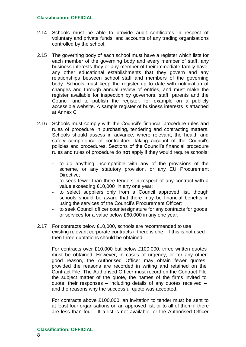- 2.14 Schools must be able to provide audit certificates in respect of voluntary and private funds, and accounts of any trading organisations controlled by the school.
- 2.15 The governing body of each school must have a register which lists for each member of the governing body and every member of staff, any business interests they or any member of their immediate family have, any other educational establishments that they govern and any relationships between school staff and members of the governing body. Schools must keep the register up to date with notification of changes and through annual review of entries, and must make the register available for inspection by governors, staff, parents and the Council and to publish the register, for example on a publicly accessible website. A sample register of business interests is attached at Annex C
- 2.16 Schools must comply with the Council's financial procedure rules and rules of procedure in purchasing, tendering and contracting matters. Schools should assess in advance, where relevant, the health and safety competence of contractors, taking account of the Council's policies and procedures. Sections of the Council's financial procedure rules and rules of procedure do **not** apply if they would require schools:
	- to do anything incompatible with any of the provisions of the scheme, or any statutory provision, or any EU Procurement Directive;
	- to seek fewer than three tenders in respect of any contract with a value exceeding £10,000 in any one year;
	- to select suppliers only from a Council approved list, though schools should be aware that there may be financial benefits in using the services of the Council's Procurement Officer;
	- to seek Council officer countersignature for any contracts for goods or services for a value below £60,000 in any one year.
- 2.17 For contracts below £10,000, schools are recommended to use existing relevant corporate contracts if there is one. If this is not used then three quotations should be obtained.

For contracts over £10,000 but below £100,000, three written quotes must be obtained. However, in cases of urgency, or for any other good reason, the Authorised Officer may obtain fewer quotes, provided the reasons are recorded in writing and retained on the Contract File. The Authorised Officer must record on the Contract File the subject matter of the quote, the names of the firms invited to quote, their responses – including details of any quotes received – and the reasons why the successful quote was accepted.

For contracts above £100,000, an invitation to tender must be sent to at least four organisations on an approved list, or to all of them if there are less than four. If a list is not available, or the Authorised Officer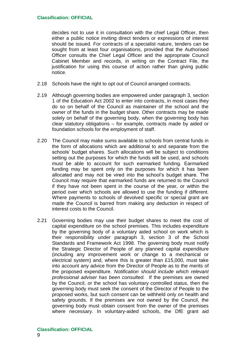decides not to use it in consultation with the chief Legal Officer, then either a public notice inviting direct tenders or expressions of interest should be issued. For contracts of a specialist nature, tenders can be sought from at least four organisations, provided that the Authorised Officer consults the Chief Legal Officer and the appropriate Council Cabinet Member and records, in writing on the Contract File, the justification for using this course of action rather than giving public notice.

- 2.18 Schools have the right to opt out of Council arranged contracts.
- 2.19 Although governing bodies are empowered under paragraph 3, section 1 of the Education Act 2002 to enter into contracts, in most cases they do so on behalf of the Council as maintainer of the school and the owner of the funds in the budget share. Other contracts may be made solely on behalf of the governing body, when the governing body has clear statutory obligations – for example, contracts made by aided or foundation schools for the employment of staff.
- 2.20 The Council may make sums available to schools from central funds in the form of allocations which are additional to and separate from the schools' budget shares. Such allocations will be subject to conditions setting out the purposes for which the funds will be used, and schools must be able to account for such earmarked funding. Earmarked funding may be spent only on the purposes for which it has been allocated and may not be vired into the school's budget share. The Council may require that earmarked funds are returned to the Council if they have not been spent in the course of the year, or within the period over which schools are allowed to use the funding if different. Where payments to schools of devolved specific or special grant are made the Council is barred from making any deduction in respect of interest costs to the Council.
- 2.21 Governing bodies may use their budget shares to meet the cost of capital expenditure on the school premises. This includes expenditure by the governing body of a voluntary aided school on work which is their responsibility under paragraph 3, section 3 of the School Standards and Framework Act 1998. The governing body must notify the Strategic Director of People of any planned capital expenditure (including any improvement work or change to a mechanical or electrical system) and, where this is greater than £15,000, must take into account any advice from the Director of People as to the merits of the proposed expenditure. *Notification should include which relevant professional adviser has been consulted.* If the premises are owned by the Council, or the school has voluntary controlled status, then the governing body must seek the consent of the Director of People to the proposed works, but such consent can be withheld only on health and safety grounds. If the premises are not owned by the Council, the governing body must obtain consent from the owner of the premises where necessary. In voluntary-aided schools, the DfE grant aid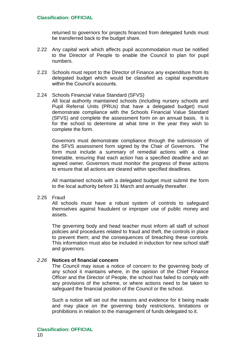returned to governors for projects financed from delegated funds must be transferred back to the budget share.

- 2.22 Any capital work which affects pupil accommodation must be notified to the Director of People to enable the Council to plan for pupil numbers.
- 2.23 Schools must report to the Director of Finance any expenditure from its delegated budget which would be classified as capital expenditure within the Council's accounts.

#### 2.24 Schools Financial Value Standard (SFVS)

All local authority maintained schools (including nursery schools and Pupil Referral Units (PRUs) that have a delegated budget) must demonstrate compliance with the Schools Financial Value Standard (SFVS) and complete the assessment form on an annual basis. It is for the school to determine at what time in the year they wish to complete the form.

Governors must demonstrate compliance through the submission of the SFVS assessment form signed by the Chair of Governors. The form must include a summary of remedial actions with a clear timetable, ensuring that each action has a specified deadline and an agreed owner. Governors must monitor the progress of these actions to ensure that all actions are cleared within specified deadlines.

All maintained schools with a delegated budget must submit the form to the local authority before 31 March and annually thereafter.

2.25 Fraud

All schools must have a robust system of controls to safeguard themselves against fraudulent or improper use of public money and assets.

The governing body and head teacher must inform all staff of school policies and procedures related to fraud and theft, the controls in place to prevent them; and the consequences of breaching these controls. This information must also be included in induction for new school staff and governors.

## *2.26* **Notices of financial concern**

The Council may issue a notice of concern to the governing body of any school it maintains where, in the opinion of the Chief Finance Officer and the Director of People, the school has failed to comply with any provisions of the scheme, or where actions need to be taken to safeguard the financial position of the Council or the school.

Such a notice will set out the reasons and evidence for it being made and may place on the governing body restrictions, limitations or prohibitions in relation to the management of funds delegated to it.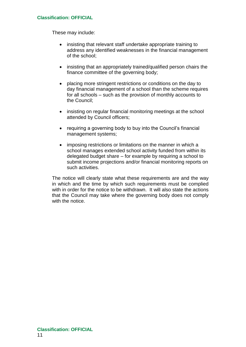These may include:

- insisting that relevant staff undertake appropriate training to address any identified weaknesses in the financial management of the school;
- insisting that an appropriately trained/qualified person chairs the finance committee of the governing body;
- placing more stringent restrictions or conditions on the day to day financial management of a school than the scheme requires for all schools – such as the provision of monthly accounts to the Council;
- insisting on regular financial monitoring meetings at the school attended by Council officers;
- requiring a governing body to buy into the Council's financial management systems;
- imposing restrictions or limitations on the manner in which a school manages extended school activity funded from within its delegated budget share – for example by requiring a school to submit income projections and/or financial monitoring reports on such activities.

The notice will clearly state what these requirements are and the way in which and the time by which such requirements must be complied with in order for the notice to be withdrawn. It will also state the actions that the Council may take where the governing body does not comply with the notice.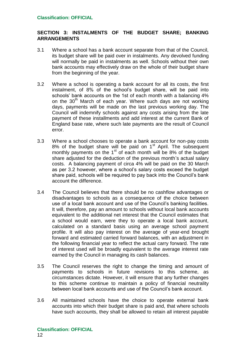## **SECTION 3: INSTALMENTS OF THE BUDGET SHARE; BANKING ARRANGEMENTS**

- 3.1 Where a school has a bank account separate from that of the Council, its budget share will be paid over in instalments. Any devolved funding will normally be paid in instalments as well. Schools without their own bank accounts may effectively draw on the whole of their budget share from the beginning of the year.
- 3.2 Where a school is operating a bank account for all its costs, the first instalment, of 8% of the school's budget share, will be paid into schools' bank accounts on the 1st of each month with a balancing 4% on the 30<sup>th</sup> March of each year. Where such days are not working days, payments will be made on the last previous working day. The Council will indemnify schools against any costs arising from the late payment of these installments and add interest at the current Bank of England base rate, where such late payments are the result of Council error.
- 3.3 Where a school chooses to operate a bank account for non-pay costs 8% of the budget share will be paid on 1<sup>st</sup> April. The subsequent monthly payments on the  $1<sup>st</sup>$  of each month will be 8% of the budget share adjusted for the deduction of the previous month's actual salary costs. A balancing payment of circa 4% will be paid on the 30 March as per 3.2 however, where a school's salary costs exceed the budget share paid, schools will be required to pay back into the Council's bank account the difference.
- 3.4 The Council believes that there should be no cashflow advantages or disadvantages to schools as a consequence of the choice between use of a local bank account and use of the Council's banking facilities. It will, therefore, pay an amount to schools without local bank accounts equivalent to the additional net interest that the Council estimates that a school would earn, were they to operate a local bank account, calculated on a standard basis using an average school payment profile. It will also pay interest on the average of year-end brought forward and estimated carried forward balances, with an adjustment in the following financial year to reflect the actual carry forward. The rate of interest used will be broadly equivalent to the average interest rate earned by the Council in managing its cash balances.
- 3.5 The Council reserves the right to change the timing and amount of payments to schools in future revisions to this scheme, as circumstances dictate. However, it will ensure that any further changes to this scheme continue to maintain a policy of financial neutrality between local bank accounts and use of the Council's bank account.
- 3.6 All maintained schools have the choice to operate external bank accounts into which their budget share is paid and, that where schools have such accounts, they shall be allowed to retain all interest payable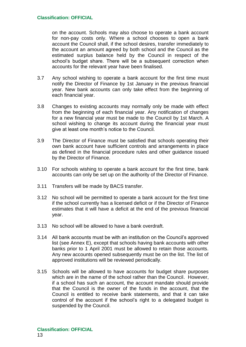on the account. Schools may also choose to operate a bank account for non-pay costs only. Where a school chooses to open a bank account the Council shall, if the school desires, transfer immediately to the account an amount agreed by both school and the Council as the estimated surplus balance held by the Council in respect of the school's budget share. There will be a subsequent correction when accounts for the relevant year have been finalised.

- 3.7 Any school wishing to operate a bank account for the first time must notify the Director of Finance by 1st January in the previous financial year. New bank accounts can only take effect from the beginning of each financial year.
- 3.8 Changes to existing accounts may normally only be made with effect from the beginning of each financial year. Any notification of changes for a new financial year must be made to the Council by 1st March. A school wishing to change its account during the financial year must give at least one month's notice to the Council.
- 3.9 The Director of Finance must be satisfied that schools operating their own bank account have sufficient controls and arrangements in place as defined in the financial procedure rules and other guidance issued by the Director of Finance.
- 3.10 For schools wishing to operate a bank account for the first time, bank accounts can only be set up on the authority of the Director of Finance.
- 3.11 Transfers will be made by BACS transfer.
- 3.12 No school will be permitted to operate a bank account for the first time if the school currently has a licensed deficit or if the Director of Finance estimates that it will have a deficit at the end of the previous financial year.
- 3.13 No school will be allowed to have a bank overdraft.
- 3.14 All bank accounts must be with an institution on the Council's approved list (see Annex E), except that schools having bank accounts with other banks prior to 1 April 2001 must be allowed to retain those accounts*.* Any new accounts opened subsequently must be on the list. The list of approved institutions will be reviewed periodically.
- 3.15 Schools will be allowed to have accounts for budget share purposes which are in the name of the school rather than the Council. However, if a school has such an account, the account mandate should provide that the Council is the owner of the funds in the account, that the Council is entitled to receive bank statements, and that it can take control of the account if the school's right to a delegated budget is suspended by the Council.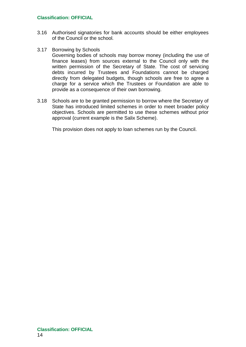- 3.16 Authorised signatories for bank accounts should be either employees of the Council or the school*.*
- 3.17 Borrowing by Schools Governing bodies of schools may borrow money (including the use of finance leases) from sources external to the Council only with the written permission of the Secretary of State*.* The cost of servicing debts incurred by Trustees and Foundations cannot be charged directly from delegated budgets, though schools are free to agree a charge for a service which the Trustees or Foundation are able to provide as a consequence of their own borrowing.
- 3.18 Schools are to be granted permission to borrow where the Secretary of State has introduced limited schemes in order to meet broader policy objectives. Schools are permitted to use these schemes without prior approval (current example is the Salix Scheme).

This provision does not apply to loan schemes run by the Council.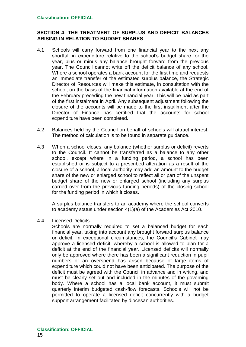## **SECTION 4: THE TREATMENT OF SURPLUS AND DEFICIT BALANCES ARISING IN RELATION TO BUDGET SHARES**

- 4.1 Schools will carry forward from one financial year to the next any shortfall in expenditure relative to the school's budget share for the year, plus or minus any balance brought forward from the previous year. The Council cannot write off the deficit balance of any school. Where a school operates a bank account for the first time and requests an immediate transfer of the estimated surplus balance, the Strategic Director of Resources will make this estimate, in consultation with the school, on the basis of the financial information available at the end of the February preceding the new financial year. This will be paid as part of the first instalment in April. Any subsequent adjustment following the closure of the accounts will be made to the first installment after the Director of Finance has certified that the accounts for school expenditure have been completed*.*
- 4.2 Balances held by the Council on behalf of schools will attract interest. The method of calculation is to be found in separate guidance.
- 4.3 When a school closes, any balance (whether surplus or deficit) reverts to the Council. It cannot be transferred as a balance to any other school, except where in a funding period, a school has been established or is subject to a prescribed alteration as a result of the closure of a school, a local authority may add an amount to the budget share of the new or enlarged school to reflect all or part of the unspent budget share of the new or enlarged school (including any surplus carried over from the previous funding periods) of the closing school for the funding period in which it closes.

A surplus balance transfers to an academy where the school converts to academy status under section 4(1)(a) of the Academies Act 2010.

4.4 Licensed Deficits

Schools are normally required to set a balanced budget for each financial year, taking into account any brought forward surplus balance or deficit. In exceptional circumstances*,* the Council's Cabinet may approve a licensed deficit, whereby a school is allowed to plan for a deficit at the end of the financial year. Licensed deficits will normally only be approved where there has been a significant reduction in pupil numbers or an overspend has arisen because of large items of expenditure which could not have been anticipated. The purpose of the deficit must be agreed with the Council in advance and in writing, and must be clearly set out and included in the minutes of the governing body. Where a school has a local bank account, it must submit quarterly interim budgeted cash-flow forecasts. Schools will not be permitted to operate a licensed deficit concurrently with a budget support arrangement facilitated by diocesan authorities.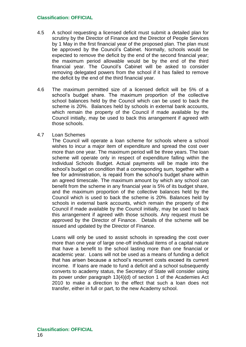- 4.5 A school requesting a licensed deficit must submit a detailed plan for scrutiny by the Director of Finance and the Director of People Services by 1 May in the first financial year of the proposed plan. The plan must be approved by the Council's Cabinet. Normally, schools would be expected to remove the deficit by the end of the second financial year; the maximum period allowable would be by the end of the third financial year. The Council's Cabinet will be asked to consider removing delegated powers from the school if it has failed to remove the deficit by the end of the third financial year.
- 4.6 The maximum permitted size of a licensed deficit will be 5% of a school's budget share. The maximum proportion of the collective school balances held by the Council which can be used to back the scheme is 20%. Balances held by schools in external bank accounts, which remain the property of the Council if made available by the Council initially, may be used to back this arrangement if agreed with those schools.

## 4.7 Loan Schemes

The Council will operate a loan scheme for schools where a school wishes to incur a major item of expenditure and spread the cost over more than one year. The maximum period will be three years. The loan scheme will operate only in respect of expenditure falling within the Individual Schools Budget. Actual payments will be made into the school's budget on condition that a corresponding sum, together with a fee for administration, is repaid from the school's budget share within an agreed timescale. The maximum amount by which any school can benefit from the scheme in any financial year is 5% of its budget share, and the maximum proportion of the collective balances held by the Council which is used to back the scheme is 20%. Balances held by schools in external bank accounts, which remain the property of the Council if made available by the Council initially, may be used to back this arrangement if agreed with those schools. Any request must be approved by the Director of Finance. Details of the scheme will be issued and updated by the Director of Finance.

Loans will only be used to assist schools in spreading the cost over more than one year of large one-off individual items of a capital nature that have a benefit to the school lasting more than one financial or academic year. Loans will not be used as a means of funding a deficit that has arisen because a school's recurrent costs exceed its current income. If loans are made to fund a deficit and a school subsequently converts to academy status, the Secretary of State will consider using its power under paragraph 13(4)(d) of section 1 of the Academies Act 2010 to make a direction to the effect that such a loan does not transfer, either in full or part, to the new Academy school.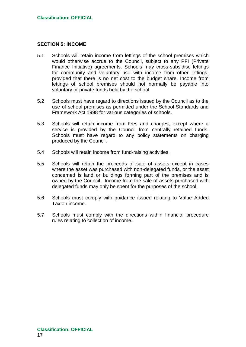## **SECTION 5: INCOME**

- 5.1 Schools will retain income from lettings of the school premises which would otherwise accrue to the Council, subject to any PFI (Private Finance Initiative) agreements. Schools may cross-subsidise lettings for community and voluntary use with income from other lettings, provided that there is no net cost to the budget share. Income from lettings of school premises should not normally be payable into voluntary or private funds held by the school.
- 5.2 Schools must have regard to directions issued by the Council as to the use of school premises as permitted under the School Standards and Framework Act 1998 for various categories of schools.
- 5.3 Schools will retain income from fees and charges, except where a service is provided by the Council from centrally retained funds. Schools must have regard to any policy statements on charging produced by the Council.
- 5.4 Schools will retain income from fund-raising activities.
- 5.5 Schools will retain the proceeds of sale of assets except in cases where the asset was purchased with non-delegated funds, or the asset concerned is land or buildings forming part of the premises and is owned by the Council. Income from the sale of assets purchased with delegated funds may only be spent for the purposes of the school.
- 5.6 Schools must comply with guidance issued relating to Value Added Tax on income.
- 5.7 Schools must comply with the directions within financial procedure rules relating to collection of income.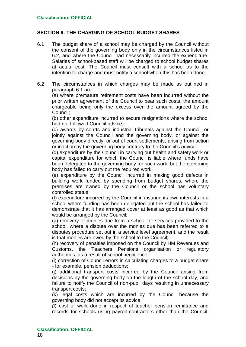## **SECTION 6: THE CHARGING OF SCHOOL BUDGET SHARES**

- 6.1 The budget share of a school may be charged by the Council without the consent of the governing body only in the circumstances listed in 6.2, and where the Council had necessarily incurred the expenditure. Salaries of school-based staff will be charged to school budget shares at actual cost. The Council must consult with a school as to the intention to charge and must notify a school when this has been done.
- 6.2 The circumstances in which charges may be made as outlined in paragraph 6.1 are:

(a) where premature retirement costs have been incurred without the prior written agreement of the Council to bear such costs, the amount chargeable being only the excess over the amount agreed by the Council;

(b) other expenditure incurred to secure resignations where the school had not followed Council advice;

(c) awards by courts and industrial tribunals against the Council, or jointly against the Council and the governing body, or against the governing body directly, or out of court settlements*,* arising from action or inaction by the governing body contrary to the Council's advice;

(d) expenditure by the Council in carrying out health and safety work or capital expenditure for which the Council is liable where funds have been delegated to the governing body for such work, but the governing body has failed to carry out the required work;

(e) expenditure by the Council incurred in making good defects in building work funded by spending from budget shares, where the premises are owned by the Council or the school has voluntary controlled status;

(f) expenditure incurred by the Council in insuring its own interests in a school where funding has been delegated but the school has failed to demonstrate that it has arranged cover at least as good as that which would be arranged by the Council;

(g) recovery of monies due from a school for services provided to the school, where a dispute over the monies due has been referred to a disputes procedure set out in a service level agreement, and the result is that monies are owed by the school to the Council;

(h) recovery of penalties imposed on the Council by HM Revenues and Customs, the Teachers Pensions organisation or regulatory authorities, as a result of school negligence;

(i) correction of Council errors in calculating charges to a budget share - for example, pension deductions;

(j) additional transport costs incurred by the Council arising from decisions by the governing body on the length of the school day, and failure to notify the Council of non-pupil days resulting in unnecessary transport costs;

(k) legal costs which are incurred by the Council because the governing body did not accept its advice;

*(*l) cost of work done in respect of teacher pension remittance and records for schools using payroll contractors other than the Council,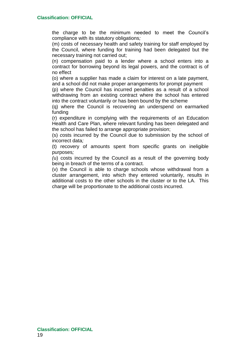the charge to be the minimum needed to meet the Council's compliance with its statutory obligations*;* 

(m) costs of necessary health and safety training for staff employed by the Council, where funding for training had been delegated but the necessary training not carried out;

(n) compensation paid to a lender where a school enters into a contract for borrowing beyond its legal powers, and the contract is of no effect

(o) where a supplier has made a claim for interest on a late payment, and a school did not make proper arrangements for prompt payment

(p) where the Council has incurred penalties as a result of a school withdrawing from an existing contract where the school has entered into the contract voluntarily or has been bound by the scheme

(q) where the Council is recovering an underspend on earmarked funding

(r) expenditure in complying with the requirements of an Education Health and Care Plan, where relevant funding has been delegated and the school has failed to arrange appropriate provision;

(s) *c*osts incurred by the Council due to submission by the school of incorrect data*;*

(t) recovery of amounts spent from specific grants on ineligible purposes*;*

*(*u) costs incurred by the Council as a result of the governing body being in breach of the terms of a contract*.*

(v) the Council is able to charge schools whose withdrawal from a cluster arrangement, into which they entered voluntarily, results in additional costs to the other schools in the cluster or to the LA. This charge will be proportionate to the additional costs incurred.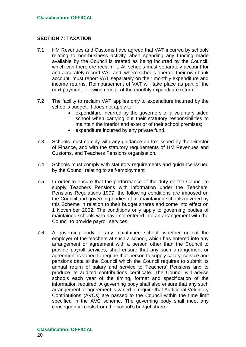## **SECTION 7: TAXATION**

- 7.1 HM Revenues and Customs have agreed that VAT incurred by schools relating to non-business activity when spending any funding made available by the Council is treated as being incurred by the Council, which can therefore reclaim it. All schools must separately account for and accurately record VAT and, where schools operate their own bank account, must report VAT separately on their monthly expenditure and income returns. Reimbursement of VAT will take place as part of the next payment following receipt of the monthly expenditure return.
- 7.2 The facility to reclaim VAT applies only to expenditure incurred by the school's budget. It does not apply to:
	- expenditure incurred by the governors of a voluntary aided school when carrying out their statutory responsibilities to maintain the interior and exterior of their school premises;
	- expenditure incurred by any private fund*.*
- 7.3 Schools must comply with any guidance on tax issued by the Director of Finance, and with the statutory requirements of HM Revenues and Customs, and Teachers Pensions organisation*.*
- 7.4 Schools must comply with statutory requirements and guidance issued by the Council relating to self-employment*.*
- 7.5 In order to ensure that the performance of the duty on the Council to supply Teachers Pensions with information under the Teachers' Pensions Regulations 1997, the following conditions are imposed on the Council and governing bodies of all maintained schools covered by this Scheme in relation to their budget shares and come into effect on 1 November 2002. The conditions only apply to governing bodies of maintained schools who have not entered into an arrangement with the Council to provide payroll services.
- 7.6 A governing body of any maintained school, whether or not the employer of the teachers at such a school, which has entered into any arrangement or agreement with a person other than the Council to provide payroll services, shall ensure that any such arrangement or agreement is varied to require that person to supply salary, service and pensions data to the Council which the Council requires to submit its annual return of salary and service to Teachers' Pensions and to produce its audited contributions certificate. The Council will advise schools each year of the timing, format and specification of the information required. A governing body shall also ensure that any such arrangement or agreement is varied to require that Additional Voluntary Contributions (AVCs) are passed to the Council within the time limit specified in the AVC scheme. The governing body shall meet any consequential costs from the school's budget share.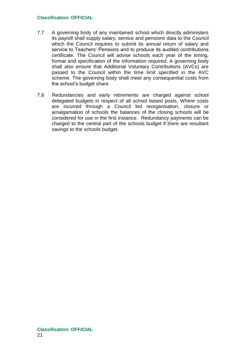- 7.7 A governing body of any maintained school which directly administers its payroll shall supply salary, service and pensions data to the Council which the Council requires to submit its annual return of salary and service to Teachers' Pensions and to produce its audited contributions certificate. The Council will advise schools each year of the timing, format and specification of the information required. A governing body shall also ensure that Additional Voluntary Contributions (AVCs) are passed to the Council within the time limit specified in the AVC scheme. The governing body shall meet any consequential costs from the school's budget share.
- 7.8 Redundancies and early retirements are charged against school delegated budgets in respect of all school based posts. Where costs are incurred through a Council led reorganisation, closure or amalgamation of schools the balances of the closing schools will be considered for use in the first instance. Redundancy payments can be charged to the central part of the schools budget if there are resultant savings to the schools budget.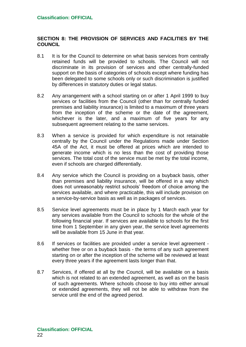## **SECTION 8: THE PROVISION OF SERVICES AND FACILITIES BY THE COUNCIL**

- 8.1 It is for the Council to determine on what basis services from centrally retained funds will be provided to schools. The Council will not discriminate in its provision of services and other centrally-funded support on the basis of categories of schools except where funding has been delegated to some schools only or such discrimination is justified by differences in statutory duties or legal status.
- 8.2 Any arrangement with a school starting on or after 1 April 1999 to buy services or facilities from the Council (other than for centrally funded premises and liability insurance) is limited to a maximum of three years from the inception of the scheme or the date of the agreement, whichever is the later, and a maximum of five years for any subsequent agreement relating to the same services.
- 8.3 When a service is provided for which expenditure is not retainable centrally by the Council under the Regulations made under Section 45A of the Act, it must be offered at prices which are intended to generate income which is no less than the cost of providing those services. The total cost of the service must be met by the total income, even if schools are charged differentially*.*
- 8.4 Any service which the Council is providing on a buyback basis, other than premises and liability insurance, will be offered in a way which does not unreasonably restrict schools' freedom of choice among the services available, and where practicable, this will include provision on a service-by-service basis as well as in packages of services.
- 8.5 Service level agreements must be in place by 1 March each year for any services available from the Council to schools for the whole of the following financial year. If services are available to schools for the first time from 1 September in any given year, the service level agreements will be available from 15 June in that year*.*
- 8.6 If services or facilities are provided under a service level agreement whether free or on a buyback basis - the terms of any such agreement starting on or after the inception of the scheme will be reviewed at least every three years if the agreement lasts longer than that.
- 8.7 Services, if offered at all by the Council, will be available on a basis which is not related to an extended agreement, as well as on the basis of such agreements. Where schools choose to buy into either annual or extended agreements, they will not be able to withdraw from the service until the end of the agreed period.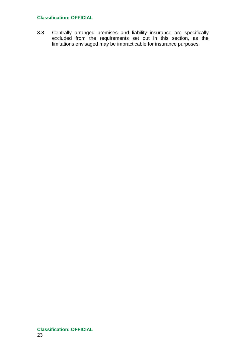8.8 Centrally arranged premises and liability insurance are specifically excluded from the requirements set out in this section, as the limitations envisaged may be impracticable for insurance purposes*.*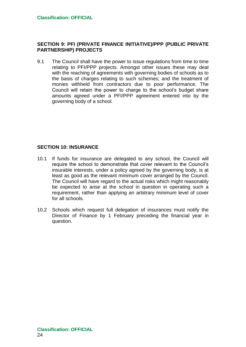## **SECTION 9: PFI (PRIVATE FINANCE INITIATIVE)/PPP (PUBLIC PRIVATE PARTNERSHIP) PROJECTS**

9.1 The Council shall have the power to issue regulations from time to time relating to PFI/PPP projects. Amongst other issues these may deal with the reaching of agreements with governing bodies of schools as to the basis of charges relating to such schemes; and the treatment of monies withheld from contractors due to poor performance. The Council will retain the power to charge to the school's budget share amounts agreed under a PFI/PPP agreement entered into by the governing body of a school*.*

## **SECTION 10: INSURANCE**

- 10.1 If funds for insurance are delegated to any school, the Council will require the school to demonstrate that cover relevant to the Council's insurable interests, under a policy agreed by the governing body, is at least as good as the relevant minimum cover arranged by the Council. The Council will have regard to the actual risks which might reasonably be expected to arise at the school in question in operating such a requirement, rather than applying an arbitrary minimum level of cover for all schools*.*
- 10.2 Schools which request full delegation of insurances must notify the Director of Finance by 1 February preceding the financial year in question.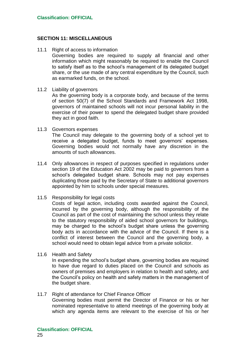## **SECTION 11: MISCELLANEOUS**

- 11.1 Right of access to information Governing bodies are required to supply all financial and other information which might reasonably be required to enable the Council to satisfy itself as to the school's management of its delegated budget share, or the use made of any central expenditure by the Council, such as earmarked funds, on the school.
- 11.2 Liability of governors

As the governing body is a corporate body, and because of the terms of section 50(7) of the School Standards and Framework Act 1998, governors of maintained schools will not incur personal liability in the exercise of their power to spend the delegated budget share provided they act in good faith.

- 11.3 Governors expenses The Council may delegate to the governing body of a school yet to receive a delegated budget, funds to meet governors' expenses. Governing bodies would not normally have any discretion in the amounts of such allowances.
- 11.4 Only allowances in respect of purposes specified in regulations under section 19 of the Education Act 2002 may be paid to governors from a school's delegated budget share. Schools may not pay expenses duplicating those paid by the Secretary of State to additional governors appointed by him to schools under special measures.
- 11.5 Responsibility for legal costs

Costs of legal action, including costs awarded against the Council, incurred by the governing body, although the responsibility of the Council as part of the cost of maintaining the school unless they relate to the statutory responsibility of aided school governors for buildings, may be charged to the school's budget share unless the governing body acts in accordance with the advice of the Council. If there is a conflict of interest between the Council and the governing body, a school would need to obtain legal advice from a private solicitor.

11.6 Health and Safety

In expending the school's budget share, governing bodies are required to have due regard to duties placed on the Council and schools as owners of premises and employers in relation to health and safety, and the Council's policy on health and safety matters in the management of the budget share.

11.7 Right of attendance for Chief Finance Officer Governing bodies must permit the Director of Finance or his or her nominated representative to attend meetings of the governing body at which any agenda items are relevant to the exercise of his or her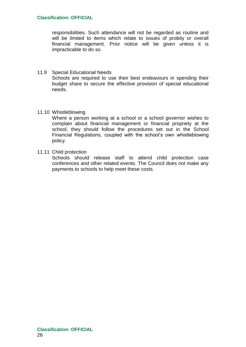responsibilities. Such attendance will not be regarded as routine and will be limited to items which relate to issues of probity or overall financial management. Prior notice will be given unless it is impracticable to do so.

#### 11.9 Special Educational Needs Schools are required to use their best endeavours in spending their budget share to secure the effective provision of special educational needs.

#### 11.10 Whistleblowing

Where a person working at a school or a school governor wishes to complain about financial management or financial propriety at the school, they should follow the procedures set out in the School Financial Regulations, coupled with the school's own whistleblowing policy.

#### 11.11 Child protection

Schools should release staff to attend child protection case conferences and other related events. The Council does not make any payments to schools to help meet these costs.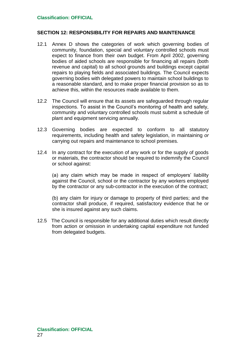## **SECTION 12: RESPONSIBILITY FOR REPAIRS AND MAINTENANCE**

- 12.1 Annex D shows the categories of work which governing bodies of community, foundation, special and voluntary controlled schools must expect to finance from their own budget. From April 2002, governing bodies of aided schools are responsible for financing all repairs (both revenue and capital) to all school grounds and buildings except capital repairs to playing fields and associated buildings*.* The Council expects governing bodies with delegated powers to maintain school buildings to a reasonable standard, and to make proper financial provision so as to achieve this, within the resources made available to them.
- 12.2 The Council will ensure that its assets are safeguarded through regular inspections. To assist in the Council's monitoring of health and safety, community and voluntary controlled schools must submit a schedule of plant and equipment servicing annually.
- 12.3 Governing bodies are expected to conform to all statutory requirements, including health and safety legislation, in maintaining *or* carrying out repairs and maintenance to school premises.
- 12.4 In any contract for the execution of any work or for the supply of goods or materials, the contractor should be required to indemnify the Council or school against:

(a) any claim which may be made in respect of employers' liability against the Council, school or the contractor by any workers employed by the contractor or any sub-contractor in the execution of the contract;

(b) any claim for injury or damage to property of third parties; and the contractor shall produce, if required, satisfactory evidence that he or she is insured against any such claims.

12.5 The Council is responsible for any additional duties which result directly from action or omission in undertaking capital expenditure not funded from delegated budgets.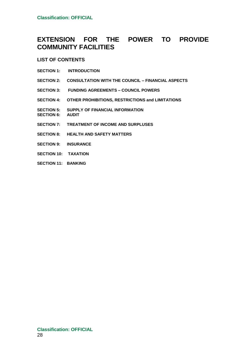## **EXTENSION FOR THE POWER TO PROVIDE COMMUNITY FACILITIES**

#### **LIST OF CONTENTS**

- **SECTION 1: INTRODUCTION**
- **SECTION 2: CONSULTATION WITH THE COUNCIL – FINANCIAL ASPECTS**
- **SECTION 3: FUNDING AGREEMENTS – COUNCIL POWERS**
- **SECTION 4: OTHER PROHIBITIONS, RESTRICTIONS and LIMITATIONS**
- **SECTION 5: SUPPLY OF FINANCIAL INFORMATION**
- **SECTION 6: AUDIT**
- **SECTION 7: TREATMENT OF INCOME AND SURPLUSES**
- **SECTION 8: HEALTH AND SAFETY MATTERS**
- **SECTION 9: INSURANCE**
- **SECTION 10: TAXATION**
- **SECTION 11: BANKING**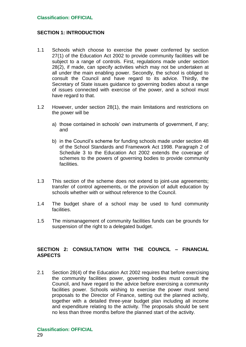## **SECTION 1: INTRODUCTION**

- 1.1 Schools which choose to exercise the power conferred by section 27(1) of the Education Act 2002 to provide community facilities will be subject to a range of controls. First, regulations made under section 28(2), if made, can specify activities which may not be undertaken at all under the main enabling power. Secondly, the school is obliged to consult the Council and have regard to its advice. Thirdly, the Secretary of State issues guidance to governing bodies about a range of issues connected with exercise of the power, and a school must have regard to that.
- 1.2 However, under section 28(1), the main limitations and restrictions on the power will be
	- a) those contained in schools' own instruments of government, if any; and
	- b) in the Council's scheme for funding schools made under section 48 of the School Standards and Framework Act 1998. Paragraph 2 of Schedule 3 to the Education Act 2002 extends the coverage of schemes to the powers of governing bodies to provide community facilities.
- 1.3 This section of the scheme does not extend to joint-use agreements; transfer of control agreements, or the provision of adult education by schools whether with or without reference to the Council.
- 1.4 The budget share of a school may be used to fund community facilities.
- 1.5 The mismanagement of community facilities funds can be grounds for suspension of the right to a delegated budget.

## **SECTION 2: CONSULTATION WITH THE COUNCIL – FINANCIAL ASPECTS**

2.1 Section 28(4) of the Education Act 2002 requires that before exercising the community facilities power, governing bodies must consult the Council, and have regard to the advice before exercising a community facilities power. Schools wishing to exercise the power must send proposals to the Director of Finance, setting out the planned activity, together with a detailed three-year budget plan including all income and expenditure relating to the activity. The proposals should be sent no less than three months before the planned start of the activity.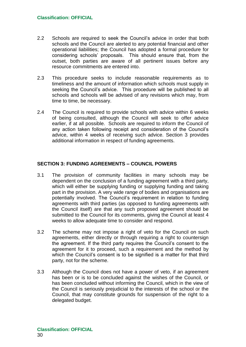- 2.2 Schools are required to seek the Council's advice in order that both schools and the Council are alerted to any potential financial and other operational liabilities; the Council has adopted a formal procedure for considering schools' proposals. This should ensure that, from the outset, both parties are aware of all pertinent issues before any resource commitments are entered into.
- 2.3 This procedure seeks to include reasonable requirements as to timeliness and the amount of information which schools must supply in seeking the Council's advice. This procedure will be published to all schools and schools will be advised of any revisions which may, from time to time, be necessary.
- 2.4 The Council is required to provide schools with advice within 6 weeks of being consulted, although the Council will seek to offer advice earlier, if at all possible. Schools are required to inform the Council of any action taken following receipt and consideration of the Council's advice, within 4 weeks of receiving such advice. Section 3 provides additional information in respect of funding agreements.

## **SECTION 3: FUNDING AGREEMENTS – COUNCIL POWERS**

- 3.1 The provision of community facilities in many schools may be dependent on the conclusion of a funding agreement with a third party, which will either be supplying funding or supplying funding and taking part in the provision. A very wide range of bodies and organisations are potentially involved. The Council's requirement in relation to funding agreements with third parties (as opposed to funding agreements with the Council itself) are that any such proposed agreement should be submitted to the Council for its comments, giving the Council at least 4 weeks to allow adequate time to consider and respond.
- 3.2 The scheme may not impose a right of veto for the Council on such agreements, either directly or through requiring a right to countersign the agreement. If the third party requires the Council's consent to the agreement for it to proceed, such a requirement and the method by which the Council's consent is to be signified is a matter for that third party, not for the scheme.
- 3.3 Although the Council does not have a power of veto, if an agreement has been or is to be concluded against the wishes of the Council, or has been concluded without informing the Council, which in the view of the Council is seriously prejudicial to the interests of the school or the Council, that may constitute grounds for suspension of the right to a delegated budget.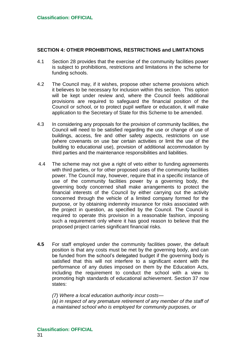## **SECTION 4: OTHER PROHIBITIONS, RESTRICTIONS and LIMITATIONS**

- 4.1 Section 28 provides that the exercise of the community facilities power is subject to prohibitions, restrictions and limitations in the scheme for funding schools.
- 4.2 The Council may, if it wishes, propose other scheme provisions which it believes to be necessary for inclusion within this section. This option will be kept under review and, where the Council feels additional provisions are required to safeguard the financial position of the Council or school, or to protect pupil welfare or education, it will make application to the Secretary of State for this Scheme to be amended.
- 4.3 In considering any proposals for the provision of community facilities, the Council will need to be satisfied regarding the use or change of use of buildings, access, fire and other safety aspects, restrictions on use (where covenants on use bar certain activities or limit the use of the building to educational use), provision of additional accommodation by third parties and the maintenance responsibilities and liabilities.
- 4.4 The scheme may not give a right of veto either to funding agreements with third parties, or for other proposed uses of the community facilities power. The Council may, however, require that in a specific instance of use of the community facilities power by a governing body, the governing body concerned shall make arrangements to protect the financial interests of the Council by either carrying out the activity concerned through the vehicle of a limited company formed for the purpose, or by obtaining indemnity insurance for risks associated with the project in question, as specified by the Council. The Council is required to operate this provision in a reasonable fashion, imposing such a requirement only where it has good reason to believe that the proposed project carries significant financial risks.
- **4.5** For staff employed under the community facilities power, the default position is that any costs must be met by the governing body, and can be funded from the school's delegated budget if the governing body is satisfied that this will not interfere to a significant extent with the performance of any duties imposed on them by the Education Acts, including the requirement to conduct the school with a view to promoting high standards of educational achievement. Section 37 now states:

*(7) Where a local education authority incur costs—*

*(a) in respect of any premature retirement of any member of the staff of a maintained school who is employed for community purposes, or*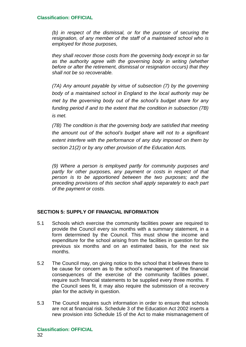*(b) in respect of the dismissal, or for the purpose of securing the resignation, of any member of the staff of a maintained school who is employed for those purposes,*

*they shall recover those costs from the governing body except in so far as the authority agree with the governing body in writing (whether before or after the retirement, dismissal or resignation occurs) that they shall not be so recoverable.*

*(7A) Any amount payable by virtue of subsection (7) by the governing body of a maintained school in England to the local authority may be met by the governing body out of the school's budget share for any funding period if and to the extent that the condition in subsection (7B) is met.* 

*(7B) The condition is that the governing body are satisfied that meeting the amount out of the school's budget share will not to a significant extent interfere with the performance of any duty imposed on them by section 21(2) or by any other provision of the Education Acts.*

*(9) Where a person is employed partly for community purposes and partly for other purposes, any payment or costs in respect of that person is to be apportioned between the two purposes; and the preceding provisions of this section shall apply separately to each part of the payment or costs.*

## **SECTION 5: SUPPLY OF FINANCIAL INFORMATION**

- 5.1 Schools which exercise the community facilities power are required to provide the Council every six months with a summary statement, in a form determined by the Council. This must show the income and expenditure for the school arising from the facilities in question for the previous six months and on an estimated basis, for the next six months.
- 5.2 The Council may, on giving notice to the school that it believes there to be cause for concern as to the school's management of the financial consequences of the exercise of the community facilities power, require such financial statements to be supplied every three months. If the Council sees fit, it may also require the submission of a recovery plan for the activity in question.
- 5.3 The Council requires such information in order to ensure that schools are not at financial risk. Schedule 3 of the Education Act 2002 inserts a new provision into Schedule 15 of the Act to make mismanagement of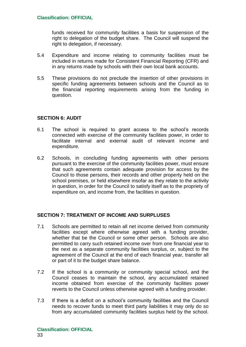funds received for community facilities a basis for suspension of the right to delegation of the budget share. The Council will suspend the right to delegation, if necessary.

- 5.4 Expenditure and income relating to community facilities must be included in returns made for Consistent Financial Reporting (CFR) and in any returns made by schools with their own local bank accounts.
- 5.5 These provisions do not preclude the insertion of other provisions in specific funding agreements between schools and the Council as to the financial reporting requirements arising from the funding in question.

## **SECTION 6: AUDIT**

- 6.1 The school is required to grant access to the school's records connected with exercise of the community facilities power, in order to facilitate internal and external audit of relevant income and expenditure.
- 6.2 Schools, in concluding funding agreements with other persons pursuant to the exercise of the community facilities power, must ensure that such agreements contain adequate provision for access by the Council to those persons, their records and other property held on the school premises, or held elsewhere insofar as they relate to the activity in question, in order for the Council to satisfy itself as to the propriety of expenditure on, and income from, the facilities in question.

## **SECTION 7: TREATMENT OF INCOME AND SURPLUSES**

- 7.1 Schools are permitted to retain all net income derived from community facilities except where otherwise agreed with a funding provider, whether that be the Council or some other person. Schools are also permitted to carry such retained income over from one financial year to the next as a separate community facilities surplus, or, subject to the agreement of the Council at the end of each financial year, transfer all or part of it to the budget share balance.
- 7.2 If the school is a community or community special school, and the Council ceases to maintain the school, any accumulated retained income obtained from exercise of the community facilities power reverts to the Council unless otherwise agreed with a funding provider.
- 7.3 If there is a deficit on a school's community facilities and the Council needs to recover funds to meet third party liabilities it may only do so from any accumulated community facilities surplus held by the school.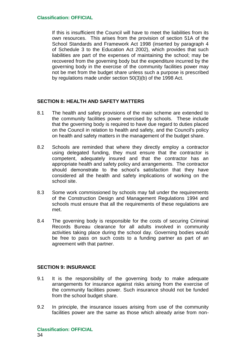If this is insufficient the Council will have to meet the liabilities from its own resources. This arises from the provision of section 51A of the School Standards and Framework Act 1998 (inserted by paragraph 4 of Schedule 3 to the Education Act 2002), which provides that such liabilities are part of the expenses of maintaining the school; may be recovered from the governing body but the expenditure incurred by the governing body in the exercise of the community facilities power may not be met from the budget share unless such a purpose is prescribed by regulations made under section 50(3)(b) of the 1998 Act.

## **SECTION 8: HEALTH AND SAFETY MATTERS**

- 8.1 The health and safety provisions of the main scheme are extended to the community facilities power exercised by schools. These include that the governing body is required to have due regard to duties placed on the Council in relation to health and safety, and the Council's policy on health and safety matters in the management of the budget share.
- 8.2 Schools are reminded that where they directly employ a contractor using delegated funding, they must ensure that the contractor is competent, adequately insured and that the contractor has an appropriate health and safety policy and arrangements. The contractor should demonstrate to the school's satisfaction that they have considered all the health and safety implications of working on the school site.
- 8.3 Some work commissioned by schools may fall under the requirements of the Construction Design and Management Regulations 1994 and schools must ensure that all the requirements of these regulations are met.
- 8.4 The governing body is responsible for the costs of securing Criminal Records Bureau clearance for all adults involved in community activities taking place during the school day. Governing bodies would be free to pass on such costs to a funding partner as part of an agreement with that partner.

## **SECTION 9: INSURANCE**

- 9.1 It is the responsibility of the governing body to make adequate arrangements for insurance against risks arising from the exercise of the community facilities power. Such insurance should not be funded from the school budget share.
- 9.2 In principle, the insurance issues arising from use of the community facilities power are the same as those which already arise from non-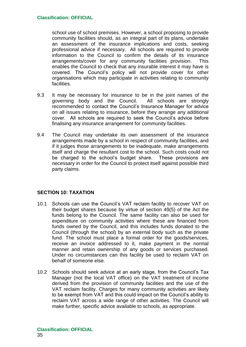school use of school premises. However, a school proposing to provide community facilities should, as an integral part of its plans, undertake an assessment of the insurance implications and costs, seeking professional advice if necessary. All schools are required to provide information to the Council to confirm the details of its insurance arrangements/cover for any community facilities provision. This enables the Council to check that any insurable interest it may have is covered. The Council's policy will not provide cover for other organisations which may participate in activities relating to community facilities.

- 9.3 It may be necessary for insurance to be in the joint names of the governing body and the Council. All schools are strongly recommended to contact the Council's Insurance Manager for advice on all issues relating to insurance, before they arrange any additional cover. All schools are required to seek the Council's advice before finalising any insurance arrangement for community facilities.
- 9.4 The Council may undertake its own assessment of the insurance arrangements made by a school in respect of community facilities, and if it judges those arrangements to be inadequate, make arrangements itself and charge the resultant cost to the school. Such costs could not be charged to the school's budget share. These provisions are necessary in order for the Council to protect itself against possible third party claims.

## **SECTION 10: TAXATION**

- 10.1 Schools can use the Council's VAT reclaim facility to recover VAT on their budget shares because by virtue of section 49(5) of the Act the funds belong to the Council. The same facility can also be used for expenditure on community activities where these are financed from funds owned by the Council, and this includes funds donated to the Council (through the school) by an external body such as the private fund. The school must place a formal order for the goods/services, receive an invoice addressed to it, make payment in the normal manner and retain ownership of any goods or services purchased. Under no circumstances can this facility be used to reclaim VAT on behalf of someone else.
- 10.2 Schools should seek advice at an early stage, from the Council's Tax Manager (not the local VAT office) on the VAT treatment of income derived from the provision of community facilities and the use of the VAT reclaim facility. Charges for many community activities are likely to be exempt from VAT and this could impact on the Council's ability to reclaim VAT across a wide range of other activities. The Council will make further, specific advice available to schools, as appropriate.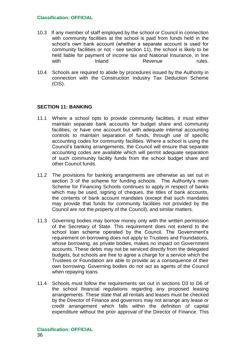- 10.3 If any member of staff employed by the school or Council in connection with community facilities at the school is paid from funds held in the school's own bank account (whether a separate account is used for community facilities or not - see section 11), the school is likely to be held liable for payment of income tax and National Insurance, in line with Inland Revenue rules.
- 10.4 Schools are required to abide by procedures issued by the Authority in connection with the Construction Industry Tax Deduction Scheme (CIS).

## **SECTION 11: BANKING**

- 11.1 Where a school opts to provide community facilities, it must either maintain separate bank accounts for budget share and community facilities, or have one account but with adequate internal accounting controls to maintain separation of funds, through use of specific accounting codes for community facilities. Where a school is using the Council's banking arrangements, the Council will ensure that separate accounting codes are available which will permit adequate separation of such community facility funds from the school budget share and other Council funds.
- 11.2 The provisions for banking arrangements are otherwise as set out in section 3 of the scheme for funding schools. The Authority's main Scheme for Financing Schools continues to apply in respect of banks which may be used, signing of cheques, the titles of bank accounts, the contents of bank account mandates (except that such mandates may provide that funds for community facilities not provided by the Council are not the property of the Council), and similar matters.
- 11.3 Governing bodies may borrow money only with the written permission of the Secretary of State. This requirement does not extend to the school loan scheme operated by the Council. The Government's requirement on borrowing does not apply to Trustees and Foundations, whose borrowing, as private bodies, makes no impact on Government accounts. These debts may not be serviced directly from the delegated budgets, but schools are free to agree a charge for a service which the Trustees or Foundation are able to provide as a consequence of their own borrowing. Governing bodies do not act as agents of the Council when repaying loans.
- 11.4 Schools must follow the requirements set out in sections D3 to D6 of the school financial regulations regarding any proposed leasing arrangements. These state that all rentals and leases must be checked by the Director of Finance and governors may not arrange any lease or credit arrangement which falls within the definition of capital expenditure without the prior approval of the Director of Finance. This